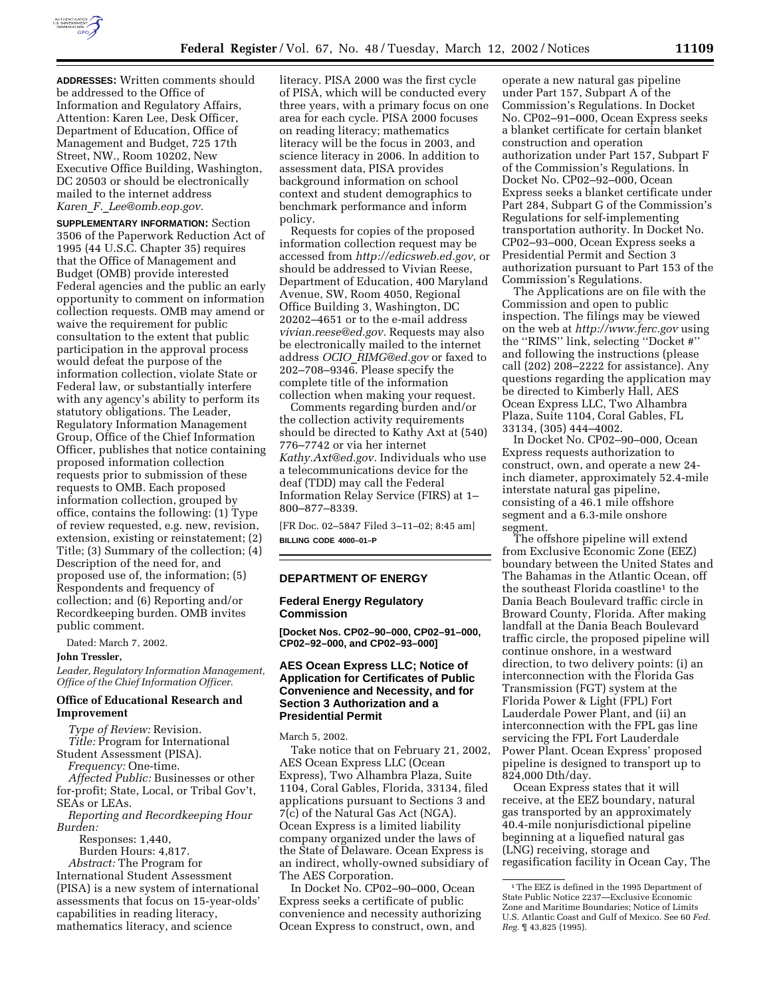

**ADDRESSES:** Written comments should be addressed to the Office of Information and Regulatory Affairs, Attention: Karen Lee, Desk Officer, Department of Education, Office of Management and Budget, 725 17th Street, NW., Room 10202, New Executive Office Building, Washington, DC 20503 or should be electronically mailed to the internet address *Karen*\_*F.*\_*Lee@omb.eop.gov.*

**SUPPLEMENTARY INFORMATION:** Section 3506 of the Paperwork Reduction Act of 1995 (44 U.S.C. Chapter 35) requires that the Office of Management and Budget (OMB) provide interested Federal agencies and the public an early opportunity to comment on information collection requests. OMB may amend or waive the requirement for public consultation to the extent that public participation in the approval process would defeat the purpose of the information collection, violate State or Federal law, or substantially interfere with any agency's ability to perform its statutory obligations. The Leader, Regulatory Information Management Group, Office of the Chief Information Officer, publishes that notice containing proposed information collection requests prior to submission of these requests to OMB. Each proposed information collection, grouped by office, contains the following: (1) Type of review requested, e.g. new, revision, extension, existing or reinstatement; (2) Title; (3) Summary of the collection; (4) Description of the need for, and proposed use of, the information; (5) Respondents and frequency of collection; and (6) Reporting and/or Recordkeeping burden. OMB invites public comment.

Dated: March 7, 2002.

#### **John Tressler,**

*Leader, Regulatory Information Management, Office of the Chief Information Officer.*

### **Office of Educational Research and Improvement**

*Type of Review:* Revision.

*Title:* Program for International Student Assessment (PISA).

*Frequency:* One-time.

*Affected Public:* Businesses or other for-profit; State, Local, or Tribal Gov't, SEAs or LEAs.

*Reporting and Recordkeeping Hour Burden:*

Responses: 1,440, Burden Hours: 4,817.

*Abstract:* The Program for International Student Assessment (PISA) is a new system of international assessments that focus on 15-year-olds' capabilities in reading literacy, mathematics literacy, and science

literacy. PISA 2000 was the first cycle of PISA, which will be conducted every three years, with a primary focus on one area for each cycle. PISA 2000 focuses on reading literacy; mathematics literacy will be the focus in 2003, and science literacy in 2006. In addition to assessment data, PISA provides background information on school context and student demographics to benchmark performance and inform policy.

Requests for copies of the proposed information collection request may be accessed from *http://edicsweb.ed.gov,* or should be addressed to Vivian Reese, Department of Education, 400 Maryland Avenue, SW, Room 4050, Regional Office Building 3, Washington, DC 20202–4651 or to the e-mail address *vivian.reese@ed.gov.* Requests may also be electronically mailed to the internet address *OCIO*\_*RIMG@ed.gov* or faxed to 202–708–9346. Please specify the complete title of the information collection when making your request.

Comments regarding burden and/or the collection activity requirements should be directed to Kathy Axt at (540) 776–7742 or via her internet *Kathy.Axt@ed.gov.* Individuals who use a telecommunications device for the deaf (TDD) may call the Federal Information Relay Service (FIRS) at 1– 800–877–8339.

[FR Doc. 02–5847 Filed 3–11–02; 8:45 am] **BILLING CODE 4000–01–P**

#### **DEPARTMENT OF ENERGY**

## **Federal Energy Regulatory Commission**

**[Docket Nos. CP02–90–000, CP02–91–000, CP02–92–000, and CP02–93–000]**

# **AES Ocean Express LLC; Notice of Application for Certificates of Public Convenience and Necessity, and for Section 3 Authorization and a Presidential Permit**

March 5, 2002.

Take notice that on February 21, 2002, AES Ocean Express LLC (Ocean Express), Two Alhambra Plaza, Suite 1104, Coral Gables, Florida, 33134, filed applications pursuant to Sections 3 and 7(c) of the Natural Gas Act (NGA). Ocean Express is a limited liability company organized under the laws of the State of Delaware. Ocean Express is an indirect, wholly-owned subsidiary of The AES Corporation.

In Docket No. CP02–90–000, Ocean Express seeks a certificate of public convenience and necessity authorizing Ocean Express to construct, own, and

operate a new natural gas pipeline under Part 157, Subpart A of the Commission's Regulations. In Docket No. CP02–91–000, Ocean Express seeks a blanket certificate for certain blanket construction and operation authorization under Part 157, Subpart F of the Commission's Regulations. In Docket No. CP02–92–000, Ocean Express seeks a blanket certificate under Part 284, Subpart G of the Commission's Regulations for self-implementing transportation authority. In Docket No. CP02–93–000, Ocean Express seeks a Presidential Permit and Section 3 authorization pursuant to Part 153 of the Commission's Regulations.

The Applications are on file with the Commission and open to public inspection. The filings may be viewed on the web at *http://www.ferc.gov* using the ''RIMS'' link, selecting ''Docket #'' and following the instructions (please call (202) 208–2222 for assistance). Any questions regarding the application may be directed to Kimberly Hall, AES Ocean Express LLC, Two Alhambra Plaza, Suite 1104, Coral Gables, FL 33134, (305) 444–4002.

In Docket No. CP02–90–000, Ocean Express requests authorization to construct, own, and operate a new 24 inch diameter, approximately 52.4-mile interstate natural gas pipeline, consisting of a 46.1 mile offshore segment and a 6.3-mile onshore segment.

The offshore pipeline will extend from Exclusive Economic Zone (EEZ) boundary between the United States and The Bahamas in the Atlantic Ocean, off the southeast Florida coastline1 to the Dania Beach Boulevard traffic circle in Broward County, Florida. After making landfall at the Dania Beach Boulevard traffic circle, the proposed pipeline will continue onshore, in a westward direction, to two delivery points: (i) an interconnection with the Florida Gas Transmission (FGT) system at the Florida Power & Light (FPL) Fort Lauderdale Power Plant, and (ii) an interconnection with the FPL gas line servicing the FPL Fort Lauderdale Power Plant. Ocean Express' proposed pipeline is designed to transport up to 824,000 Dth/day.

Ocean Express states that it will receive, at the EEZ boundary, natural gas transported by an approximately 40.4-mile nonjurisdictional pipeline beginning at a liquefied natural gas (LNG) receiving, storage and regasification facility in Ocean Cay, The

<sup>1</sup>The EEZ is defined in the 1995 Department of State Public Notice 2237—Exclusive Economic Zone and Maritime Boundaries; Notice of Limits U.S. Atlantic Coast and Gulf of Mexico. See 60 *Fed. Reg.* ¶ 43,825 (1995).